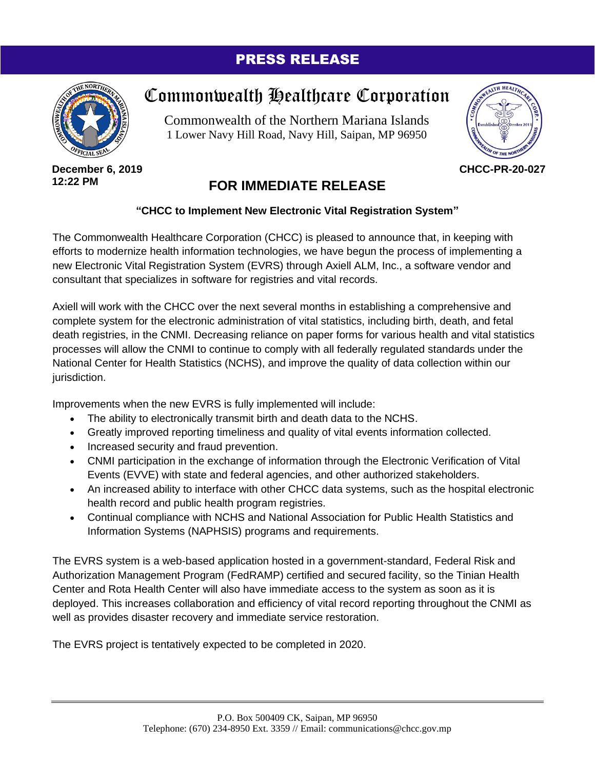## PRESS RELEASE



**December 6, 2019 12:22 PM**

## Commonwealth Healthcare Corporation

Commonwealth of the Northern Mariana Islands 1 Lower Navy Hill Road, Navy Hill, Saipan, MP 96950



**CHCC-PR-20-027**

## **FOR IMMEDIATE RELEASE**

## **"CHCC to Implement New Electronic Vital Registration System"**

The Commonwealth Healthcare Corporation (CHCC) is pleased to announce that, in keeping with efforts to modernize health information technologies, we have begun the process of implementing a new Electronic Vital Registration System (EVRS) through Axiell ALM, Inc., a software vendor and consultant that specializes in software for registries and vital records.

Axiell will work with the CHCC over the next several months in establishing a comprehensive and complete system for the electronic administration of vital statistics, including birth, death, and fetal death registries, in the CNMI. Decreasing reliance on paper forms for various health and vital statistics processes will allow the CNMI to continue to comply with all federally regulated standards under the National Center for Health Statistics (NCHS), and improve the quality of data collection within our jurisdiction.

Improvements when the new EVRS is fully implemented will include:

- The ability to electronically transmit birth and death data to the NCHS.
- Greatly improved reporting timeliness and quality of vital events information collected.
- Increased security and fraud prevention.
- CNMI participation in the exchange of information through the Electronic Verification of Vital Events (EVVE) with state and federal agencies, and other authorized stakeholders.
- An increased ability to interface with other CHCC data systems, such as the hospital electronic health record and public health program registries.
- Continual compliance with NCHS and National Association for Public Health Statistics and Information Systems (NAPHSIS) programs and requirements.

The EVRS system is a web-based application hosted in a government-standard, Federal Risk and Authorization Management Program (FedRAMP) certified and secured facility, so the Tinian Health Center and Rota Health Center will also have immediate access to the system as soon as it is deployed. This increases collaboration and efficiency of vital record reporting throughout the CNMI as well as provides disaster recovery and immediate service restoration.

The EVRS project is tentatively expected to be completed in 2020.